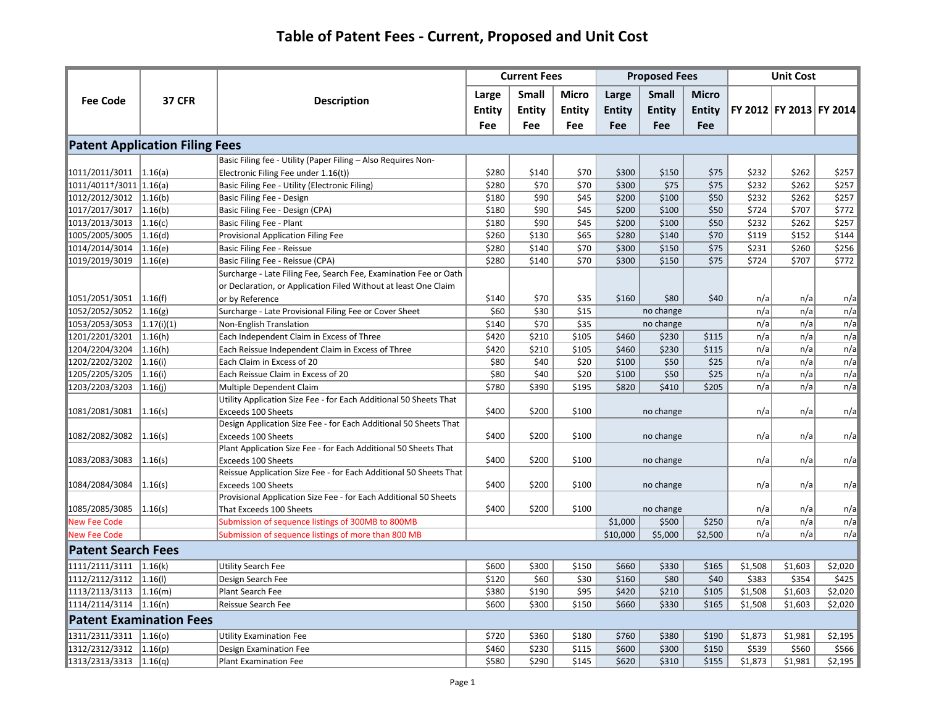|                                      |                                       |                                                                   |               | <b>Current Fees</b> |               |               | <b>Proposed Fees</b> |               |         | <b>Unit Cost</b>        |         |
|--------------------------------------|---------------------------------------|-------------------------------------------------------------------|---------------|---------------------|---------------|---------------|----------------------|---------------|---------|-------------------------|---------|
| <b>Fee Code</b>                      | <b>37 CFR</b>                         | <b>Description</b>                                                | Large         | <b>Small</b>        | Micro         | Large         | <b>Small</b>         | <b>Micro</b>  |         |                         |         |
|                                      |                                       |                                                                   | <b>Entity</b> | <b>Entity</b>       | <b>Entity</b> | <b>Entity</b> | <b>Entity</b>        | <b>Entity</b> |         | FY 2012 FY 2013 FY 2014 |         |
|                                      |                                       |                                                                   | <b>Fee</b>    | Fee                 | <b>Fee</b>    | Fee           | Fee                  | <b>Fee</b>    |         |                         |         |
|                                      | <b>Patent Application Filing Fees</b> |                                                                   |               |                     |               |               |                      |               |         |                         |         |
|                                      |                                       | Basic Filing fee - Utility (Paper Filing - Also Requires Non-     |               |                     |               |               |                      |               |         |                         |         |
| 1011/2011/3011 1.16(a)               |                                       | Electronic Filing Fee under 1.16(t))                              | \$280         | \$140               | \$70          | \$300         | \$150                | \$75          | \$232   | \$262                   | \$257   |
| 1011/4011 <sup>+</sup> /3011 1.16(a) |                                       | Basic Filing Fee - Utility (Electronic Filing)                    | \$280         | \$70                | \$70          | \$300         | \$75                 | \$75          | \$232   | \$262                   | \$257   |
| 1012/2012/3012 1.16(b)               |                                       | Basic Filing Fee - Design                                         | \$180         | \$90                | \$45          | \$200         | \$100                | \$50          | \$232   | \$262                   | \$257   |
| 1017/2017/3017   1.16(b)             |                                       | Basic Filing Fee - Design (CPA)                                   | \$180         | \$90                | \$45          | \$200         | \$100                | \$50          | \$724   | \$707                   | \$772   |
| 1013/2013/3013                       | 1.16(c)                               | Basic Filing Fee - Plant                                          | \$180         | \$90                | \$45          | \$200         | \$100                | \$50          | \$232   | \$262                   | \$257   |
| 1005/2005/3005                       | 1.16(d)                               | Provisional Application Filing Fee                                | \$260         | \$130               | \$65          | \$280         | \$140                | \$70          | \$119   | \$152                   | \$144   |
| 1014/2014/3014                       | 1.16(e)                               | Basic Filing Fee - Reissue                                        | \$280         | \$140               | \$70          | \$300         | \$150                | \$75          | \$231   | \$260                   | \$256   |
| 1019/2019/3019                       | 1.16(e)                               | Basic Filing Fee - Reissue (CPA)                                  | \$280         | \$140               | \$70          | \$300         | \$150                | \$75          | \$724   | \$707                   | \$772   |
|                                      |                                       | Surcharge - Late Filing Fee, Search Fee, Examination Fee or Oath  |               |                     |               |               |                      |               |         |                         |         |
|                                      |                                       | or Declaration, or Application Filed Without at least One Claim   |               |                     |               |               |                      |               |         |                         |         |
| 1051/2051/3051                       | 1.16(f)                               | or by Reference                                                   | \$140         | \$70                | \$35          | \$160         | \$80                 | \$40          | n/a     | n/a                     | n/a     |
| 1052/2052/3052                       | 1.16(g)                               | Surcharge - Late Provisional Filing Fee or Cover Sheet            | \$60          | \$30                | \$15          |               | no change            |               | n/a     | n/a                     | n/a     |
| 1053/2053/3053                       | (1.17(i)(1))                          | Non-English Translation                                           | \$140         | \$70                | \$35          |               | no change            |               | n/a     | n/a                     | n/a     |
| 1201/2201/3201                       | 1.16(h)                               | Each Independent Claim in Excess of Three                         | \$420         | \$210               | \$105         | \$460         | \$230                | \$115         | n/a     | n/a                     | n/a     |
| 1204/2204/3204                       | 1.16(h)                               | Each Reissue Independent Claim in Excess of Three                 | \$420         | \$210               | \$105         | \$460         | \$230                | \$115         | n/a     | n/a                     | n/a     |
| 1202/2202/3202                       | 1.16(i)                               | Each Claim in Excess of 20                                        | \$80          | \$40                | \$20          | \$100         | \$50                 | \$25          | n/a     | n/a                     | n/a     |
| 1205/2205/3205                       | 1.16(i)                               | Each Reissue Claim in Excess of 20                                | \$80          | \$40                | \$20          | \$100         | \$50                 | \$25          | n/a     | n/a                     | n/a     |
| 1203/2203/3203                       | 1.16(j)                               | Multiple Dependent Claim                                          | \$780         | \$390               | \$195         | \$820         | \$410                | \$205         | n/a     | n/a                     | n/a     |
|                                      |                                       | Utility Application Size Fee - for Each Additional 50 Sheets That |               |                     |               |               |                      |               |         |                         |         |
| 1081/2081/3081                       | 1.16(s)                               | Exceeds 100 Sheets                                                | \$400         | \$200               | \$100         |               | no change            |               | n/a     | n/a                     | n/a     |
|                                      |                                       | Design Application Size Fee - for Each Additional 50 Sheets That  |               |                     |               |               |                      |               |         |                         |         |
| 1082/2082/3082                       | 1.16(s)                               | Exceeds 100 Sheets                                                | \$400         | \$200               | \$100         |               | no change            |               | n/a     | n/a                     | n/a     |
|                                      |                                       | Plant Application Size Fee - for Each Additional 50 Sheets That   |               |                     |               |               |                      |               |         |                         |         |
| 1083/2083/3083                       | 1.16(s)                               | Exceeds 100 Sheets                                                | \$400         | \$200               | \$100         |               | no change            |               | n/a     | n/a                     | n/a     |
|                                      |                                       | Reissue Application Size Fee - for Each Additional 50 Sheets That |               |                     |               |               |                      |               |         |                         |         |
| 1084/2084/3084                       | 1.16(s)                               | Exceeds 100 Sheets                                                | \$400         | \$200               | \$100         |               | no change            |               | n/a     | n/a                     | n/a     |
|                                      |                                       | Provisional Application Size Fee - for Each Additional 50 Sheets  |               |                     |               |               |                      |               |         |                         |         |
| 1085/2085/3085                       | 1.16(s)                               | That Exceeds 100 Sheets                                           | \$400         | \$200               | \$100         |               | no change            |               | n/a     | n/a                     | n/a     |
| <b>New Fee Code</b>                  |                                       | Submission of sequence listings of 300MB to 800MB                 |               |                     |               | \$1,000       | \$500                | \$250         | n/a     | n/a                     | n/a     |
| <b>New Fee Code</b>                  |                                       | Submission of sequence listings of more than 800 MB               |               |                     |               | \$10,000      | \$5,000              | \$2,500       | n/a     | n/a                     | n/a     |
| <b>Patent Search Fees</b>            |                                       |                                                                   |               |                     |               |               |                      |               |         |                         |         |
| $1111/2111/3111$ $1.16(k)$           |                                       | Utility Search Fee                                                | \$600         | \$300               | \$150         | \$660         | \$330                | \$165         | \$1,508 | \$1,603                 | \$2,020 |
| 1112/2112/3112                       | 1.16(1)                               | Design Search Fee                                                 | \$120         | \$60                | \$30          | \$160         | \$80                 | \$40          | \$383   | \$354                   | \$425   |
| $1113/2113/3113$  1.16(m)            |                                       | Plant Search Fee                                                  | \$380         | \$190               | \$95          | \$420         | \$210                | \$105         | \$1,508 | \$1,603                 | \$2,020 |
| 1114/2114/3114 1.16(n)               |                                       | Reissue Search Fee                                                | \$600         | \$300               | \$150         | \$660         | \$330                | \$165         | \$1,508 | \$1,603                 | \$2,020 |
|                                      | <b>Patent Examination Fees</b>        |                                                                   |               |                     |               |               |                      |               |         |                         |         |
| 1311/2311/3311 1.16(0)               |                                       | <b>Utility Examination Fee</b>                                    | \$720         | \$360               | \$180         | \$760         | \$380                | \$190         | \$1,873 | \$1,981                 | \$2,195 |
| 1312/2312/3312 1.16(p)               |                                       | <b>Design Examination Fee</b>                                     | \$460         | \$230               | \$115         | \$600         | \$300                | \$150         | \$539   | \$560                   | \$566   |
| $1313/2313/3313$  1.16(q)            |                                       | <b>Plant Examination Fee</b>                                      | \$580         | \$290               | \$145         | \$620         | \$310                | \$155         | \$1,873 | \$1,981                 | \$2,195 |
|                                      |                                       |                                                                   |               |                     |               |               |                      |               |         |                         |         |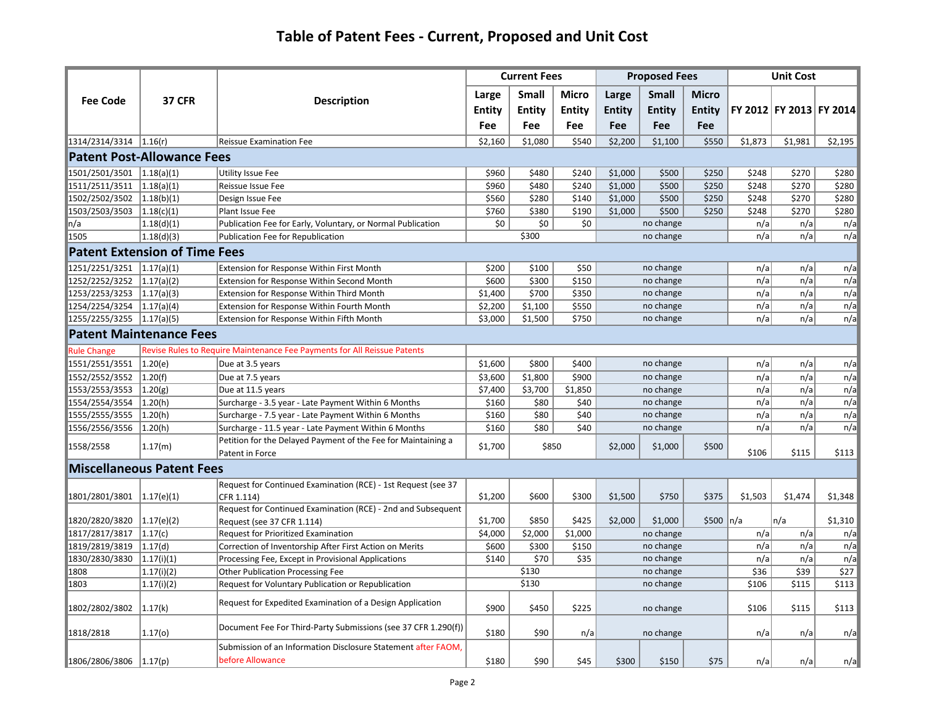|                                 |                                      |                                                                                   |               | <b>Current Fees</b> |              |               | <b>Proposed Fees</b> |               |         | <b>Unit Cost</b>        |         |
|---------------------------------|--------------------------------------|-----------------------------------------------------------------------------------|---------------|---------------------|--------------|---------------|----------------------|---------------|---------|-------------------------|---------|
|                                 |                                      |                                                                                   | Large         | <b>Small</b>        | <b>Micro</b> | Large         | <b>Small</b>         | <b>Micro</b>  |         |                         |         |
| <b>Fee Code</b>                 | <b>37 CFR</b>                        | <b>Description</b>                                                                | <b>Entity</b> | <b>Entity</b>       | Entity       | <b>Entity</b> | <b>Entity</b>        | <b>Entity</b> |         | FY 2012 FY 2013 FY 2014 |         |
|                                 |                                      |                                                                                   | Fee           | <b>Fee</b>          | <b>Fee</b>   | Fee           | <b>Fee</b>           | Fee           |         |                         |         |
| $1314/2314/3314$   1.16(r)      |                                      | <b>Reissue Examination Fee</b>                                                    | \$2,160       | \$1,080             | \$540        | \$2,200       | \$1,100              | \$550         | \$1,873 | \$1,981                 | \$2,195 |
|                                 | <b>Patent Post-Allowance Fees</b>    |                                                                                   |               |                     |              |               |                      |               |         |                         |         |
|                                 |                                      |                                                                                   |               |                     |              |               |                      |               |         |                         |         |
| 1501/2501/3501 1.18(a)(1)       |                                      | <b>Utility Issue Fee</b>                                                          | \$960         | \$480               | \$240        | \$1,000       | \$500                | \$250         | \$248   | \$270                   | \$280   |
| $1511/2511/3511$ $1.18(a)(1)$   |                                      | Reissue Issue Fee                                                                 | \$960         | \$480               | \$240        | \$1,000       | \$500                | \$250         | \$248   | \$270                   | \$280   |
| $1502/2502/3502$   1.18(b)(1)   |                                      | Design Issue Fee                                                                  | \$560         | \$280               | \$140        | \$1,000       | \$500                | \$250         | \$248   | \$270                   | \$280   |
| 1503/2503/3503 1.18(c)(1)       |                                      | Plant Issue Fee                                                                   | \$760         | \$380               | \$190        | \$1,000       | \$500                | \$250         | \$248   | \$270                   | \$280   |
| ר/a                             | 1.18(d)(1)                           | Publication Fee for Early, Voluntary, or Normal Publication                       | \$0\$         | \$0                 | \$0          |               | no change            |               | n/a     | n/a                     | n/a     |
| 1505                            | 1.18(d)(3)                           | Publication Fee for Republication                                                 |               | \$300               |              |               | no change            |               | n/a     | n/a                     | n/a     |
|                                 | <b>Patent Extension of Time Fees</b> |                                                                                   |               |                     |              |               |                      |               |         |                         |         |
| 1251/2251/3251 1.17(a)(1)       |                                      | Extension for Response Within First Month                                         | \$200         | \$100               | \$50         |               | no change            |               | n/a     | n/a                     | n/a     |
| $1252/2252/3252$ $1.17(a)(2)$   |                                      | Extension for Response Within Second Month                                        | \$600         | \$300               | \$150        |               | no change            |               | n/a     | n/a                     | n/a     |
| 1253/2253/3253 1.17(a)(3)       |                                      | <b>Extension for Response Within Third Month</b>                                  | \$1,400       | \$700               | \$350        |               | no change            |               | n/a     | n/a                     | n/a     |
| 1254/2254/3254 1.17(a)(4)       |                                      | Extension for Response Within Fourth Month                                        | \$2,200       | \$1,100             | \$550        |               | no change            |               | n/a     | n/a                     | n/a     |
| 1255/2255/3255 1.17(a)(5)       |                                      | Extension for Response Within Fifth Month                                         | \$3,000       | \$1,500             | \$750        |               | no change            |               | n/a     | n/a                     | n/a     |
|                                 | <b>Patent Maintenance Fees</b>       |                                                                                   |               |                     |              |               |                      |               |         |                         |         |
| <b>Rule Change</b>              |                                      | Revise Rules to Require Maintenance Fee Payments for All Reissue Patents          |               |                     |              |               |                      |               |         |                         |         |
| 1551/2551/3551 1.20(e)          |                                      | Due at 3.5 years                                                                  | \$1,600       | \$800               | \$400        |               | no change            |               | n/a     | n/a                     | n/a     |
| 1552/2552/3552 1.20(f)          |                                      | Due at 7.5 years                                                                  | \$3,600       | \$1,800             | \$900        |               | no change            |               | n/a     | n/a                     | n/a     |
| 1553/2553/3553 1.20(g)          |                                      | Due at 11.5 years                                                                 | \$7,400       | \$3,700             | \$1,850      |               | no change            |               | n/a     | n/a                     | n/a     |
| 1554/2554/3554                  | 1.20(h)                              | Surcharge - 3.5 year - Late Payment Within 6 Months                               | \$160         | \$80                | \$40         |               | no change            |               | n/a     | n/a                     | n/a     |
| 1555/2555/3555                  | 1.20(h)                              | Surcharge - 7.5 year - Late Payment Within 6 Months                               | \$160         | \$80                | \$40         |               | no change            |               | n/a     | n/a                     | n/a     |
| 1556/2556/3556                  | 1.20(h)                              | Surcharge - 11.5 year - Late Payment Within 6 Months                              | \$160         | \$80                | \$40         |               | no change            |               | n/a     | n/a                     | n/a     |
| 1558/2558                       | 1.17(m)                              | Petition for the Delayed Payment of the Fee for Maintaining a<br>Patent in Force  | \$1,700       | \$850               |              | \$2,000       | \$1,000              | \$500         | \$106   | \$115                   | \$113   |
|                                 | <b>Miscellaneous Patent Fees</b>     |                                                                                   |               |                     |              |               |                      |               |         |                         |         |
|                                 |                                      | Request for Continued Examination (RCE) - 1st Request (see 37                     |               |                     |              |               |                      |               |         |                         |         |
| $ 1801/2801/3801 \t 1.17(e)(1)$ |                                      | CFR 1.114)                                                                        | \$1,200       | \$600               | \$300        | \$1,500       | \$750                | \$375         | \$1,503 | \$1,474                 | \$1,348 |
|                                 |                                      | Request for Continued Examination (RCE) - 2nd and Subsequent                      |               |                     |              |               |                      |               |         |                         |         |
| 1820/2820/3820                  | 1.17(e)(2)                           | Request (see 37 CFR 1.114)                                                        | \$1,700       | \$850               | \$425        | \$2,000       | \$1,000              | $$500 \n n/a$ |         | n/a                     | \$1,310 |
| 1817/2817/3817 1.17(c)          |                                      | <b>Request for Prioritized Examination</b>                                        | \$4,000       | \$2,000             | \$1,000      |               | no change            |               | n/a     | n/a                     | n/a     |
| 1819/2819/3819                  | 1.17(d)                              | Correction of Inventorship After First Action on Merits                           | \$600         | \$300               | \$150        |               | no change            |               | n/a     | n/a                     | n/a     |
| 1830/2830/3830 1.17(i)(1)       |                                      | Processing Fee, Except in Provisional Applications                                | \$140         | \$70                | \$35         |               | no change            |               | n/a     | n/a                     | n/a     |
| 1808                            | (1.17(i)(2))                         | <b>Other Publication Processing Fee</b>                                           |               | \$130               |              |               | no change            |               | \$36    | \$39                    | \$27    |
| 1803                            | (1.17(i)(2))                         | Request for Voluntary Publication or Republication                                |               | \$130               |              |               | no change            |               | \$106   | \$115                   | \$113   |
| 1802/2802/3802 1.17(k)          |                                      | Request for Expedited Examination of a Design Application                         | \$900         | \$450               | \$225        |               | no change            |               | \$106   | \$115                   | \$113   |
| 1818/2818                       | 1.17(0)                              | Document Fee For Third-Party Submissions (see 37 CFR 1.290(f))                    | \$180         | \$90                | n/a          |               | no change            |               | n/a     | n/a                     | n/a     |
| $1806/2806/3806$   1.17(p)      |                                      | Submission of an Information Disclosure Statement after FAOM,<br>before Allowance | \$180         | \$90                | \$45         | \$300         | \$150                | \$75          | n/a     | n/a                     | n/a     |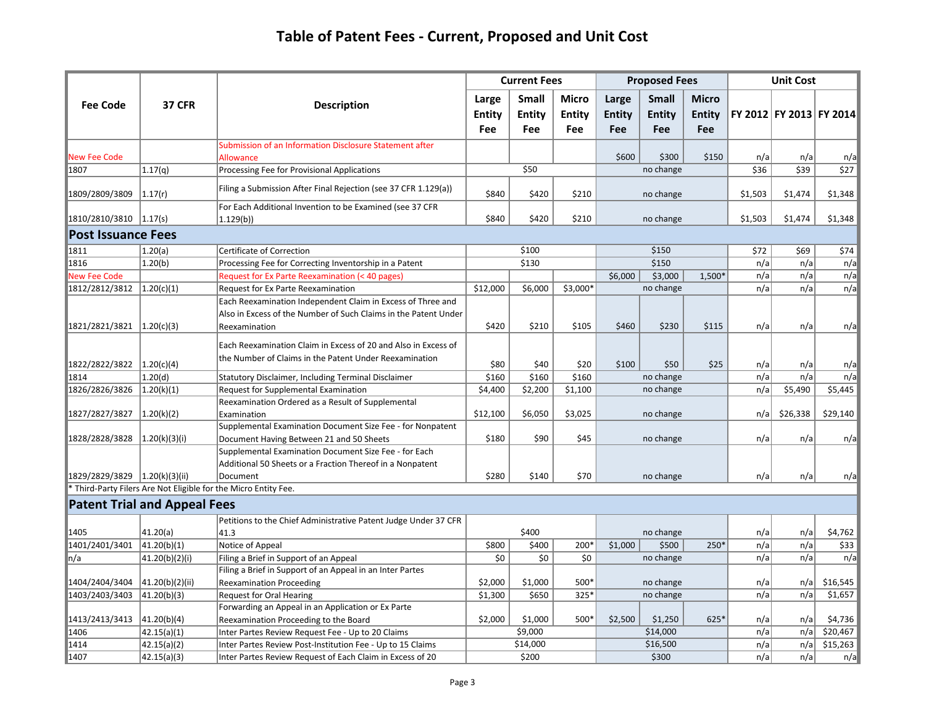|                                |                                     |                                                                        |               | <b>Proposed Fees</b><br><b>Current Fees</b> |              |               |               |               | <b>Unit Cost</b> |                         |            |
|--------------------------------|-------------------------------------|------------------------------------------------------------------------|---------------|---------------------------------------------|--------------|---------------|---------------|---------------|------------------|-------------------------|------------|
|                                |                                     |                                                                        | Large         | <b>Small</b>                                | <b>Micro</b> | Large         | Small         | <b>Micro</b>  |                  |                         |            |
| <b>Fee Code</b>                | <b>37 CFR</b>                       | <b>Description</b>                                                     | <b>Entity</b> | <b>Entity</b>                               | Entity       | <b>Entity</b> | <b>Entity</b> | <b>Entity</b> |                  | FY 2012 FY 2013 FY 2014 |            |
|                                |                                     |                                                                        | Fee           | Fee                                         | Fee          | Fee           | Fee           | Fee           |                  |                         |            |
|                                |                                     | Submission of an Information Disclosure Statement after                |               |                                             |              |               |               |               |                  |                         |            |
| New Fee Code                   |                                     | Allowance                                                              |               |                                             |              | \$600         | \$300         | \$150         | n/a              | n/a                     | n/a        |
| 1807                           | 1.17(q)                             | Processing Fee for Provisional Applications                            |               | \$50                                        |              |               | no change     |               | \$36             | \$39                    | \$27       |
| 1809/2809/3809                 | 1.17(r)                             | Filing a Submission After Final Rejection (see 37 CFR 1.129(a))        | \$840         | \$420                                       | \$210        |               | no change     |               | \$1,503          | \$1,474                 | \$1,348    |
| 1810/2810/3810 1.17(s)         |                                     | For Each Additional Invention to be Examined (see 37 CFR<br>(1.129(b)) | \$840         | \$420                                       | \$210        | no change     |               |               | \$1,503          | \$1,474                 | \$1,348    |
| <b>Post Issuance Fees</b>      |                                     |                                                                        |               |                                             |              |               |               |               |                  |                         |            |
| 1811                           | 1.20(a)                             | Certificate of Correction                                              |               | \$100                                       |              |               | \$150         |               | \$72             | \$69                    | \$74       |
| 1816                           | 1.20(b)                             | Processing Fee for Correcting Inventorship in a Patent                 |               | \$130                                       |              |               | \$150         |               | n/a              | n/a                     | n/a        |
| New Fee Code                   |                                     | Request for Ex Parte Reexamination (< 40 pages)                        |               |                                             |              | \$6,000       | \$3,000       | 1,500*        | n/a              | n/a                     | n/a        |
| 1812/2812/3812 1.20(c)(1)      |                                     | Request for Ex Parte Reexamination                                     | \$12,000      | \$6,000                                     | \$3,000*     |               | no change     |               | n/a              | n/a                     | n/a        |
|                                |                                     | Each Reexamination Independent Claim in Excess of Three and            |               |                                             |              |               |               |               |                  |                         |            |
|                                |                                     | Also in Excess of the Number of Such Claims in the Patent Under        |               |                                             |              |               |               |               |                  |                         |            |
| 1821/2821/3821                 | 1.20(c)(3)                          | Reexamination                                                          | \$420         | \$210                                       | \$105        | \$460         | \$230         | \$115         | n/a              | n/a                     | n/a        |
|                                |                                     | Each Reexamination Claim in Excess of 20 and Also in Excess of         |               |                                             |              |               |               |               |                  |                         |            |
| 1822/2822/3822 1.20(c)(4)      |                                     | the Number of Claims in the Patent Under Reexamination                 | \$80          | \$40                                        | \$20         | \$100         | \$50          | \$25          |                  |                         |            |
| 1814                           | 1.20(d)                             | Statutory Disclaimer, Including Terminal Disclaimer                    | \$160         | \$160                                       | \$160        |               | no change     |               | n/a<br>n/a       | n/a<br>n/a              | n/a<br>n/a |
| 1826/2826/3826                 | 1.20(k)(1)                          | <b>Request for Supplemental Examination</b>                            | \$4,400       | \$2,200                                     | \$1,100      |               | no change     |               | n/a              | \$5,490                 | \$5,445    |
|                                |                                     | Reexamination Ordered as a Result of Supplemental                      |               |                                             |              |               |               |               |                  |                         |            |
| 1827/2827/3827                 | 1.20(k)(2)                          | Examination                                                            | \$12,100      | \$6,050                                     | \$3,025      |               | no change     |               | n/a              | \$26,338                | \$29,140   |
|                                |                                     | Supplemental Examination Document Size Fee - for Nonpatent             |               |                                             |              |               |               |               |                  |                         |            |
| 1828/2828/3828                 | (1.20(k)(3)(i))                     | Document Having Between 21 and 50 Sheets                               | \$180         | \$90                                        | \$45         |               | no change     |               | n/a              | n/a                     | n/a        |
|                                |                                     | Supplemental Examination Document Size Fee - for Each                  |               |                                             |              |               |               |               |                  |                         |            |
|                                |                                     | Additional 50 Sheets or a Fraction Thereof in a Nonpatent              |               |                                             |              |               |               |               |                  |                         |            |
| 1829/2829/3829  1.20(k)(3)(ii) |                                     | Document                                                               | \$280         | \$140                                       | \$70         |               | no change     |               | n/a              | n/a                     | n/a        |
|                                |                                     | Third-Party Filers Are Not Eligible for the Micro Entity Fee.          |               |                                             |              |               |               |               |                  |                         |            |
|                                | <b>Patent Trial and Appeal Fees</b> |                                                                        |               |                                             |              |               |               |               |                  |                         |            |
|                                |                                     | Petitions to the Chief Administrative Patent Judge Under 37 CFR        |               |                                             |              |               |               |               |                  |                         |            |
| 1405                           | 41.20(a)                            | 41.3                                                                   |               | \$400                                       |              |               | no change     |               | n/a              | n/a                     | \$4,762    |
| 1401/2401/3401                 | 41.20(b)(1)                         | Notice of Appeal                                                       | \$800         | \$400                                       | 200*         | \$1,000       | \$500         | 250*          | n/a              | n/a                     | \$33       |
| ∣n/a                           | 41.20(b)(2)(i)                      | Filing a Brief in Support of an Appeal                                 | \$0           | \$0                                         | \$0          |               | no change     |               | n/a              | n/a                     | n/a        |
|                                |                                     | Filing a Brief in Support of an Appeal in an Inter Partes              |               |                                             |              |               |               |               |                  |                         |            |
| 1404/2404/3404                 | 41.20(b)(2)(ii)                     | <b>Reexamination Proceeding</b>                                        | \$2,000       | \$1,000                                     | 500*         |               | no change     |               | n/a              | n/a                     | \$16,545   |
| 1403/2403/3403                 | 41.20(b)(3)                         | Request for Oral Hearing                                               | \$1,300       | \$650                                       | 325*         |               | no change     |               | n/a              | n/a                     | \$1,657    |
|                                |                                     | Forwarding an Appeal in an Application or Ex Parte                     |               |                                             |              |               |               |               |                  |                         |            |
| 1413/2413/3413 41.20(b)(4)     |                                     | Reexamination Proceeding to the Board                                  | \$2,000       | \$1,000                                     | 500*         | \$2,500       | \$1,250       | $625*$        | n/a              | n/a                     | \$4,736    |
| 1406                           | 42.15(a)(1)                         | Inter Partes Review Request Fee - Up to 20 Claims                      |               | \$9,000                                     |              |               | \$14,000      |               | n/a              | n/a                     | \$20,467   |
| 1414                           | 42.15(a)(2)                         | Inter Partes Review Post-Institution Fee - Up to 15 Claims             |               | \$14,000                                    |              |               | \$16,500      |               | n/a              | n/a                     | \$15,263   |
| 1407                           | 42.15(a)(3)                         | Inter Partes Review Request of Each Claim in Excess of 20              |               | \$200                                       |              |               | \$300         |               | n/a              | n/a                     | n/a        |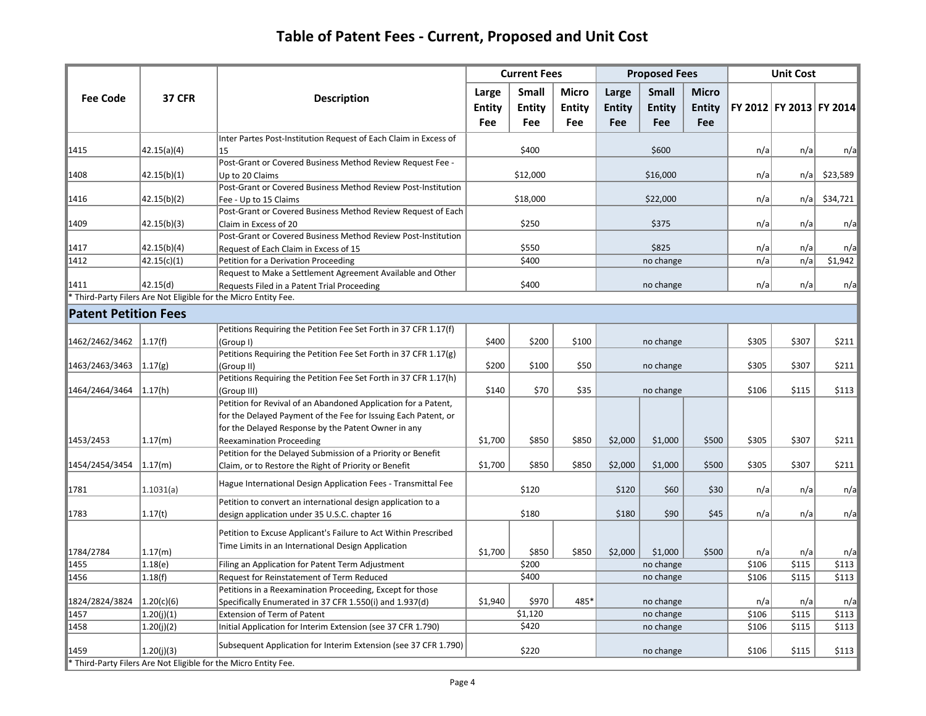|                             |               |                                                                                                                       | <b>Current Fees</b>           |                               |                                      |                               | <b>Proposed Fees</b>                 |                                      |       | <b>Unit Cost</b> |                         |
|-----------------------------|---------------|-----------------------------------------------------------------------------------------------------------------------|-------------------------------|-------------------------------|--------------------------------------|-------------------------------|--------------------------------------|--------------------------------------|-------|------------------|-------------------------|
| <b>Fee Code</b>             | <b>37 CFR</b> | Description                                                                                                           | Large<br><b>Entity</b><br>Fee | <b>Small</b><br>Entity<br>Fee | <b>Micro</b><br><b>Entity</b><br>Fee | Large<br><b>Entity</b><br>Fee | <b>Small</b><br><b>Entity</b><br>Fee | <b>Micro</b><br><b>Entity</b><br>Fee |       |                  | FY 2012 FY 2013 FY 2014 |
| 1415                        | 42.15(a)(4)   | Inter Partes Post-Institution Request of Each Claim in Excess of<br>15                                                |                               | \$400                         |                                      |                               | \$600                                |                                      | n/a   | n/a              | n/a                     |
|                             |               | Post-Grant or Covered Business Method Review Request Fee -                                                            |                               |                               |                                      |                               |                                      |                                      |       |                  |                         |
| 1408                        | 42.15(b)(1)   | Up to 20 Claims                                                                                                       |                               | \$12,000                      |                                      | \$16,000                      |                                      |                                      | n/a   | n/a              | \$23,589                |
|                             |               | Post-Grant or Covered Business Method Review Post-Institution                                                         |                               |                               |                                      |                               |                                      |                                      |       |                  |                         |
| 1416                        | 42.15(b)(2)   | Fee - Up to 15 Claims                                                                                                 |                               | \$18,000                      |                                      |                               | \$22,000                             |                                      | n/a   | n/a              | \$34,721                |
|                             |               | Post-Grant or Covered Business Method Review Request of Each                                                          |                               |                               |                                      |                               |                                      |                                      |       |                  |                         |
| 1409                        | 42.15(b)(3)   | Claim in Excess of 20                                                                                                 |                               | \$250                         |                                      |                               | \$375                                |                                      | n/a   | n/a              | n/a                     |
|                             |               | Post-Grant or Covered Business Method Review Post-Institution                                                         |                               |                               |                                      |                               |                                      |                                      |       |                  |                         |
| 1417                        | 42.15(b)(4)   | Request of Each Claim in Excess of 15                                                                                 | \$550                         |                               |                                      |                               | \$825                                |                                      | n/a   | n/a              | n/a                     |
| 1412                        | 42.15(c)(1)   | Petition for a Derivation Proceeding                                                                                  | \$400                         |                               |                                      |                               | no change                            |                                      | n/a   | n/a              | \$1,942                 |
|                             |               | Request to Make a Settlement Agreement Available and Other                                                            |                               |                               |                                      |                               |                                      |                                      |       |                  |                         |
| 1411                        | 42.15(d)      | Requests Filed in a Patent Trial Proceeding                                                                           | \$400                         |                               |                                      |                               | no change                            |                                      | n/a   | n/a              | n/a                     |
|                             |               | Third-Party Filers Are Not Eligible for the Micro Entity Fee.                                                         |                               |                               |                                      |                               |                                      |                                      |       |                  |                         |
| <b>Patent Petition Fees</b> |               |                                                                                                                       |                               |                               |                                      |                               |                                      |                                      |       |                  |                         |
|                             |               | Petitions Requiring the Petition Fee Set Forth in 37 CFR 1.17(f)                                                      |                               |                               |                                      |                               |                                      |                                      |       |                  |                         |
| 1462/2462/3462              | 1.17(f)       | (Group I)                                                                                                             | \$400                         | \$200                         | \$100                                |                               | no change                            |                                      | \$305 | \$307            | \$211                   |
|                             |               | Petitions Requiring the Petition Fee Set Forth in 37 CFR 1.17(g)                                                      |                               |                               |                                      |                               |                                      |                                      |       |                  |                         |
| 1463/2463/3463 1.17(g)      |               | (Group II)                                                                                                            | \$200                         | \$100                         | \$50                                 |                               | no change                            |                                      | \$305 | \$307            | \$211                   |
|                             |               | Petitions Requiring the Petition Fee Set Forth in 37 CFR 1.17(h)                                                      |                               |                               |                                      |                               |                                      |                                      |       |                  |                         |
| 1464/2464/3464              | 1.17(h)       | (Group III)                                                                                                           | \$140                         | \$70                          | \$35                                 | no change                     |                                      | \$106                                | \$115 | \$113            |                         |
|                             |               | Petition for Revival of an Abandoned Application for a Patent,                                                        |                               |                               |                                      |                               |                                      |                                      |       |                  |                         |
|                             |               | for the Delayed Payment of the Fee for Issuing Each Patent, or<br>for the Delayed Response by the Patent Owner in any |                               |                               |                                      |                               |                                      |                                      |       |                  |                         |
| 1453/2453                   | 1.17(m)       | <b>Reexamination Proceeding</b>                                                                                       | \$1,700                       | \$850                         | \$850                                | \$2,000                       | \$1,000                              | \$500                                | \$305 | \$307            | \$211                   |
|                             |               | Petition for the Delayed Submission of a Priority or Benefit                                                          |                               |                               |                                      |                               |                                      |                                      |       |                  |                         |
| 1454/2454/3454              | 1.17(m)       | Claim, or to Restore the Right of Priority or Benefit                                                                 | \$1,700                       | \$850                         | \$850                                | \$2,000                       | \$1,000                              | \$500                                | \$305 | \$307            | \$211                   |
|                             |               |                                                                                                                       |                               |                               |                                      |                               |                                      |                                      |       |                  |                         |
| 1781                        | 1.1031(a)     | Hague International Design Application Fees - Transmittal Fee                                                         |                               | \$120                         |                                      | \$120                         | \$60                                 | \$30                                 | n/a   | n/a              | n/a                     |
|                             |               | Petition to convert an international design application to a                                                          |                               | \$180                         |                                      |                               | \$90                                 | \$45                                 |       |                  |                         |
| 1783                        | 1.17(t)       | design application under 35 U.S.C. chapter 16                                                                         |                               |                               |                                      | \$180                         |                                      |                                      | n/a   | n/a              | n/a                     |
|                             |               | Petition to Excuse Applicant's Failure to Act Within Prescribed                                                       |                               |                               |                                      |                               |                                      |                                      |       |                  |                         |
| 1784/2784                   | 1.17(m)       | Time Limits in an International Design Application                                                                    | \$1,700                       | \$850                         | \$850                                | \$2,000                       | \$1,000                              | \$500                                | n/a   | n/a              | n/a                     |
| 1455                        | 1.18(e)       | Filing an Application for Patent Term Adjustment                                                                      |                               | \$200                         |                                      |                               | no change                            |                                      | \$106 | \$115            | \$113                   |
| 1456                        | 1.18(f)       | Request for Reinstatement of Term Reduced                                                                             | \$400                         |                               |                                      | no change                     |                                      | \$106                                | \$115 | \$113            |                         |
|                             |               | Petitions in a Reexamination Proceeding, Except for those                                                             |                               |                               |                                      |                               |                                      |                                      |       |                  |                         |
| 1824/2824/3824              | 1.20(c)(6)    | Specifically Enumerated in 37 CFR 1.550(i) and 1.937(d)                                                               | \$1,940<br>\$970<br>485*      |                               |                                      | no change                     |                                      | n/a                                  | n/a   | n/a              |                         |
| 1457                        | 1.20(j)(1)    | Extension of Term of Patent                                                                                           | \$1,120                       |                               |                                      |                               | no change                            |                                      | \$106 | \$115            | \$113                   |
| 1458                        | (1.20(j)(2))  | Initial Application for Interim Extension (see 37 CFR 1.790)                                                          |                               | \$420                         |                                      |                               | no change                            |                                      | \$106 | \$115            | \$113                   |
| 1459                        | 1.20(i)(3)    | Subsequent Application for Interim Extension (see 37 CFR 1.790)                                                       |                               | \$220                         |                                      |                               | no change                            |                                      | \$106 | \$115            | \$113                   |
|                             |               | * Third-Party Filers Are Not Eligible for the Micro Entity Fee.                                                       |                               |                               |                                      |                               |                                      |                                      |       |                  |                         |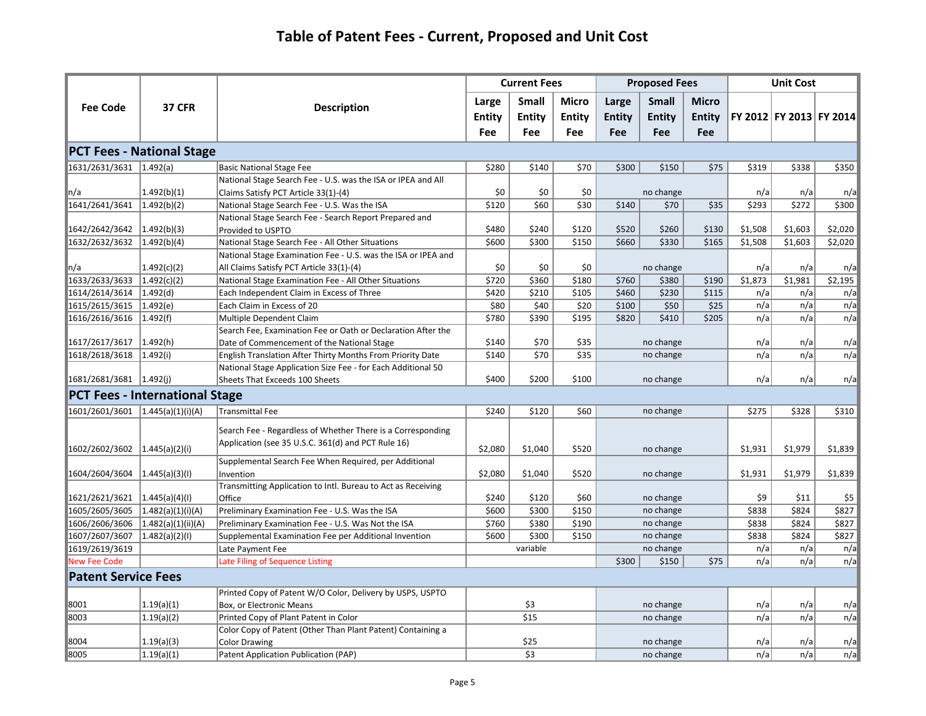|                                      |                                       |                                                                        |               | <b>Current Fees</b> |                  |               | <b>Proposed Fees</b>   |               |            | <b>Unit Cost</b>        |            |
|--------------------------------------|---------------------------------------|------------------------------------------------------------------------|---------------|---------------------|------------------|---------------|------------------------|---------------|------------|-------------------------|------------|
| <b>Fee Code</b>                      | <b>37 CFR</b>                         |                                                                        | Large         | Small               | Micro            | Large         | <b>Small</b>           | <b>Micro</b>  |            |                         |            |
|                                      |                                       | <b>Description</b>                                                     | <b>Entity</b> | <b>Entity</b>       | Entity           | <b>Entity</b> | <b>Entity</b>          | <b>Entity</b> |            | FY 2012 FY 2013 FY 2014 |            |
|                                      |                                       |                                                                        | Fee           | Fee                 | Fee              | Fee           | Fee                    | Fee           |            |                         |            |
|                                      | <b>PCT Fees - National Stage</b>      |                                                                        |               |                     |                  |               |                        |               |            |                         |            |
| 1631/2631/3631 1.492(a)              |                                       | <b>Basic National Stage Fee</b>                                        | \$280         | \$140               | \$70             | \$300         | \$150                  | \$75          | \$319      | \$338                   | \$350      |
|                                      |                                       | National Stage Search Fee - U.S. was the ISA or IPEA and All           |               |                     |                  |               |                        |               |            |                         |            |
| n/a                                  | 1.492(b)(1)                           | Claims Satisfy PCT Article 33(1)-(4)                                   | \$0           | \$0                 | \$0              |               | no change              |               | n/a        | n/a                     | n/a        |
| 1641/2641/3641                       | 1.492(b)(2)                           | National Stage Search Fee - U.S. Was the ISA                           | \$120         | \$60                | $\overline{$}30$ | \$140         | \$70                   | \$35          | \$293      | \$272                   | \$300      |
|                                      |                                       | National Stage Search Fee - Search Report Prepared and                 |               |                     |                  |               |                        |               |            |                         |            |
| $ 1642/2642/3642 \t 1.492(b)(3)$     |                                       | Provided to USPTO                                                      | \$480         | \$240               | \$120            | \$520         | \$260                  | \$130         | \$1,508    | \$1,603                 | \$2,020    |
| 1632/2632/3632 1.492(b)(4)           |                                       | National Stage Search Fee - All Other Situations                       | \$600         | \$300               | \$150            | \$660         | \$330                  | \$165         | \$1,508    | \$1,603                 | \$2,020    |
|                                      |                                       | National Stage Examination Fee - U.S. was the ISA or IPEA and          |               |                     |                  |               |                        |               |            |                         |            |
| ∥n/a                                 | 1.492(c)(2)                           | All Claims Satisfy PCT Article 33(1)-(4)                               | \$0           | \$0                 | \$0              |               | no change              |               | n/a        | n/a                     | n/a        |
| 1633/2633/3633                       | 1.492(c)(2)                           | National Stage Examination Fee - All Other Situations                  | \$720         | \$360               | \$180            | \$760         | \$380                  | \$190         | \$1,873    | \$1,981                 | \$2,195    |
| 1614/2614/3614 1.492(d)              |                                       | Each Independent Claim in Excess of Three                              | \$420         | \$210               | \$105            | \$460         | \$230                  | \$115         | n/a        | n/a                     | n/a        |
| 1615/2615/3615 1.492(e)              |                                       | Each Claim in Excess of 20                                             | \$80          | \$40                | \$20             | \$100         | \$50                   | \$25          | n/a        | n/a                     | n/a        |
| 1616/2616/3616 1.492(f)              |                                       | Multiple Dependent Claim                                               | \$780         | \$390               | \$195            | \$820         | \$410                  | \$205         | n/a        | n/a                     | n/a        |
|                                      |                                       | Search Fee, Examination Fee or Oath or Declaration After the           |               |                     |                  |               |                        |               |            |                         |            |
| 1617/2617/3617                       | 1.492(h)                              | Date of Commencement of the National Stage                             | \$140         | \$70                | \$35             |               | no change              |               | n/a        | n/a                     | n/a        |
| 1618/2618/3618 1.492(i)              |                                       | English Translation After Thirty Months From Priority Date             | \$140         | \$70                | \$35             |               | no change              |               | n/a        | n/a                     | n/a        |
|                                      |                                       | National Stage Application Size Fee - for Each Additional 50           |               |                     |                  |               |                        |               |            |                         |            |
| $ 1681/2681/3681 \t   1.492(j) $     |                                       | Sheets That Exceeds 100 Sheets                                         | \$400         | \$200               | \$100            |               | no change              |               | n/a        | n/a                     | n/a        |
|                                      | <b>PCT Fees - International Stage</b> |                                                                        |               |                     |                  |               |                        |               |            |                         |            |
| $1601/2601/3601$ $1.445(a)(1)(i)(A)$ |                                       | <b>Transmittal Fee</b>                                                 | \$240         | \$120               | \$60             |               | no change              |               | \$275      | \$328                   | \$310      |
|                                      |                                       | Search Fee - Regardless of Whether There is a Corresponding            |               |                     |                  |               |                        |               |            |                         |            |
|                                      |                                       | Application (see 35 U.S.C. 361(d) and PCT Rule 16)                     |               |                     |                  |               |                        |               |            |                         |            |
| 1602/2602/3602 1.445(a)(2)(i)        |                                       |                                                                        | \$2,080       | \$1,040             | \$520            |               | no change              |               | \$1,931    | \$1,979                 | \$1,839    |
|                                      |                                       | Supplemental Search Fee When Required, per Additional                  |               |                     |                  |               |                        |               |            |                         |            |
| $ 1604/2604/3604 \t 1.445(a)(3)(1)$  |                                       | Invention                                                              | \$2,080       | \$1,040             | \$520            |               | no change              |               | \$1,931    | \$1,979                 | \$1,839    |
| $ 1621/2621/3621 \t 1.445(a)(4)(1)$  |                                       | Transmitting Application to Intl. Bureau to Act as Receiving<br>Office | \$240         | \$120               | \$60             |               | no change              |               | \$9        | \$11                    | \$5        |
| 1605/2605/3605  1.482(a)(1)(i)(A)    |                                       | Preliminary Examination Fee - U.S. Was the ISA                         | \$600         | \$300               | \$150            |               | no change              |               | \$838      | \$824                   | \$827      |
| 1606/2606/3606                       | 1.482(a)(1)(ii)(A)                    | Preliminary Examination Fee - U.S. Was Not the ISA                     | \$760         | \$380               | \$190            |               | no change              |               | \$838      | \$824                   | \$827      |
| 1607/2607/3607                       | 1.482(a)(2)(1)                        | Supplemental Examination Fee per Additional Invention                  | \$600         | \$300               | \$150            |               | no change              |               | \$838      | \$824                   | \$827      |
| 1619/2619/3619                       |                                       | Late Payment Fee                                                       |               | variable            |                  |               | no change              |               | n/a        | n/a                     | n/a        |
| <b>New Fee Code</b>                  |                                       | Late Filing of Sequence Listing                                        |               |                     |                  | \$300         | \$150                  | \$75          | n/a        | n/a                     | n/a        |
| <b>Patent Service Fees</b>           |                                       |                                                                        |               |                     |                  |               |                        |               |            |                         |            |
|                                      |                                       |                                                                        |               |                     |                  |               |                        |               |            |                         |            |
| 8001                                 |                                       | Printed Copy of Patent W/O Color, Delivery by USPS, USPTO              |               | \$3                 |                  |               |                        |               |            |                         |            |
| 8003                                 | 1.19(a)(1) <br>(1.19(a)(2))           | Box, or Electronic Means<br>Printed Copy of Plant Patent in Color      |               | \$15                |                  |               | no change<br>no change |               | n/a<br>n/a | n/a<br>n/a              | n/a<br>n/a |
|                                      |                                       | Color Copy of Patent (Other Than Plant Patent) Containing a            |               |                     |                  |               |                        |               |            |                         |            |
| 8004                                 | 1.19(a)(3)                            | <b>Color Drawing</b>                                                   |               | \$25                |                  |               | no change              |               | n/a        | n/a                     | n/a        |
| 8005                                 | (1.19(a)(1))                          | Patent Application Publication (PAP)                                   |               | \$3                 |                  |               | no change              |               | n/a        | n/a                     | n/a        |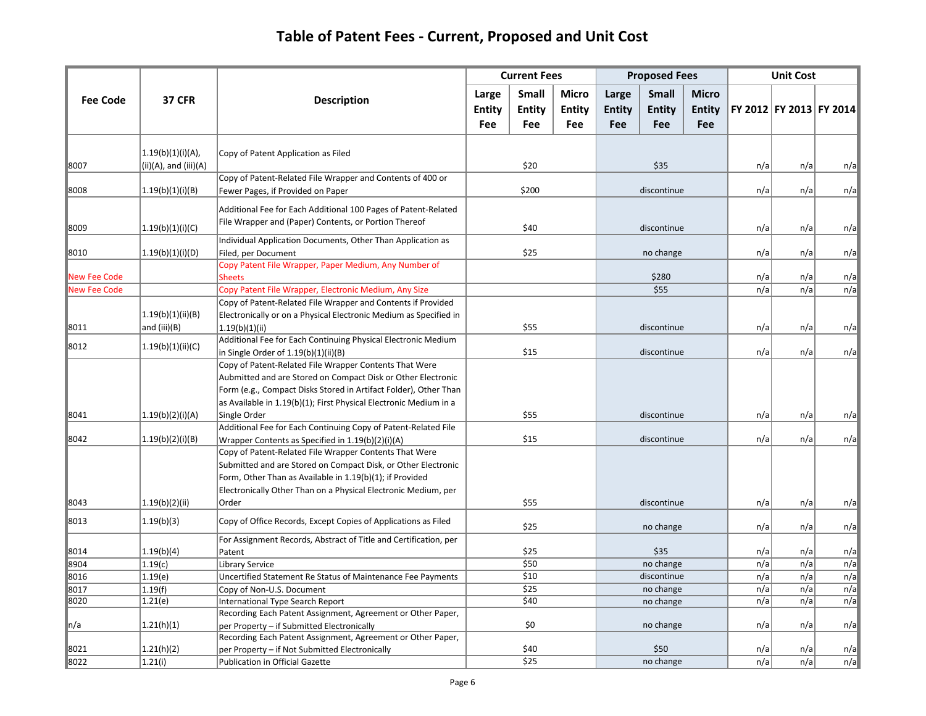|                     |                                                  |                                                                                                                                                                                                                                                                                 |                     | <b>Current Fees</b> |              |               | <b>Proposed Fees</b> |               |            | <b>Unit Cost</b> |                         |  |            |     |     |     |
|---------------------|--------------------------------------------------|---------------------------------------------------------------------------------------------------------------------------------------------------------------------------------------------------------------------------------------------------------------------------------|---------------------|---------------------|--------------|---------------|----------------------|---------------|------------|------------------|-------------------------|--|------------|-----|-----|-----|
| <b>Fee Code</b>     | <b>37 CFR</b>                                    | <b>Description</b>                                                                                                                                                                                                                                                              | Large               | <b>Small</b>        | <b>Micro</b> | Large         | Small                | <b>Micro</b>  |            |                  |                         |  |            |     |     |     |
|                     |                                                  |                                                                                                                                                                                                                                                                                 | Entity              | Entity              | Entity       | <b>Entity</b> | Entity               | <b>Entity</b> |            |                  | FY 2012 FY 2013 FY 2014 |  |            |     |     |     |
|                     |                                                  |                                                                                                                                                                                                                                                                                 | Fee                 | Fee                 | <b>Fee</b>   | Fee           | Fee                  | Fee           |            |                  |                         |  |            |     |     |     |
| 8007                | (1.19(b)(1)(i)(A))<br>$(ii)(A)$ , and $(iii)(A)$ | Copy of Patent Application as Filed                                                                                                                                                                                                                                             |                     | \$20                |              |               | \$35                 |               | n/a        | n/a              | n/a                     |  |            |     |     |     |
| 8008                | (1.19(b)(1)(i)(B))                               | Copy of Patent-Related File Wrapper and Contents of 400 or<br>Fewer Pages, if Provided on Paper                                                                                                                                                                                 |                     | \$200               |              |               | discontinue          |               | n/a        | n/a              | n/a                     |  |            |     |     |     |
| 8009                | (1.19(b)(1)(i)(C))                               | Additional Fee for Each Additional 100 Pages of Patent-Related<br>File Wrapper and (Paper) Contents, or Portion Thereof                                                                                                                                                         | \$40<br>discontinue |                     |              |               |                      |               |            |                  |                         |  |            | n/a | n/a | n/a |
| 8010                | (1.19(b)(1)(i)(D))                               | Individual Application Documents, Other Than Application as<br>Filed, per Document                                                                                                                                                                                              |                     | \$25                |              | no change     |                      |               | n/a        | n/a              | n/a                     |  |            |     |     |     |
| <b>New Fee Code</b> |                                                  | Copy Patent File Wrapper, Paper Medium, Any Number of<br><b>Sheets</b>                                                                                                                                                                                                          |                     |                     |              |               | \$280                |               | n/a        | n/a              | n/a                     |  |            |     |     |     |
| <b>New Fee Code</b> |                                                  | Copy Patent File Wrapper, Electronic Medium, Any Size                                                                                                                                                                                                                           |                     |                     |              |               | \$55                 |               | n/a        | n/a              | n/a                     |  |            |     |     |     |
| 8011                | 1.19(b)(1)(ii)(B)<br>and (iii)(B)                | Copy of Patent-Related File Wrapper and Contents if Provided<br>Electronically or on a Physical Electronic Medium as Specified in<br>1.19(b)(1)(ii)                                                                                                                             | \$55                |                     |              | discontinue   |                      |               |            |                  |                         |  | n/a<br>n/a | n/a |     |     |
| 8012                | (1.19(b)(1)(ii)(C))                              | Additional Fee for Each Continuing Physical Electronic Medium<br>in Single Order of 1.19(b)(1)(ii)(B)                                                                                                                                                                           |                     | \$15                |              | discontinue   |                      |               | n/a        | n/a              | n/a                     |  |            |     |     |     |
| 8041                | (1.19(b)(2)(i)(A))                               | Copy of Patent-Related File Wrapper Contents That Were<br>Aubmitted and are Stored on Compact Disk or Other Electronic<br>Form (e.g., Compact Disks Stored in Artifact Folder), Other Than<br>as Available in 1.19(b)(1); First Physical Electronic Medium in a<br>Single Order |                     |                     | discontinue  |               |                      | n/a           | n/a        | n/a              |                         |  |            |     |     |     |
| 8042                | (1.19(b)(2)(i)(B))                               | Additional Fee for Each Continuing Copy of Patent-Related File<br>Wrapper Contents as Specified in 1.19(b)(2)(i)(A)                                                                                                                                                             |                     | \$55<br>\$15        |              |               |                      |               | n/a        | n/a              | n/a                     |  |            |     |     |     |
|                     |                                                  | Copy of Patent-Related File Wrapper Contents That Were<br>Submitted and are Stored on Compact Disk, or Other Electronic<br>Form, Other Than as Available in 1.19(b)(1); if Provided<br>Electronically Other Than on a Physical Electronic Medium, per                           |                     |                     |              |               | discontinue          |               |            |                  |                         |  |            |     |     |     |
| 8043                | 1.19(b)(2)(ii)                                   | Order                                                                                                                                                                                                                                                                           |                     | \$55                |              |               | discontinue          |               | n/a        | n/a              | n/a                     |  |            |     |     |     |
| 8013                | 1.19(b)(3)                                       | Copy of Office Records, Except Copies of Applications as Filed                                                                                                                                                                                                                  |                     | \$25                |              |               | no change            |               | n/a        | n/a              | n/a                     |  |            |     |     |     |
| 8014                | 1.19(b)(4)                                       | For Assignment Records, Abstract of Title and Certification, per<br>Patent                                                                                                                                                                                                      |                     | \$25                |              |               | \$35                 |               | n/a        | n/a              | n/a                     |  |            |     |     |     |
| 8904                | 1.19(c)                                          | <b>Library Service</b>                                                                                                                                                                                                                                                          |                     | \$50                |              |               | no change            |               | n/a        | n/a              | n/a                     |  |            |     |     |     |
| 8016                | 1.19(e)                                          | Uncertified Statement Re Status of Maintenance Fee Payments                                                                                                                                                                                                                     |                     | \$10                |              |               | discontinue          |               | n/a        | n/a              | n/a                     |  |            |     |     |     |
| 8017                | 1.19(f)                                          | Copy of Non-U.S. Document                                                                                                                                                                                                                                                       | \$25                |                     |              | no change     |                      | n/a           | n/a        | n/a              |                         |  |            |     |     |     |
| 8020                | 1.21(e)                                          | International Type Search Report                                                                                                                                                                                                                                                |                     | \$40                |              |               | no change            |               | n/a        | n/a              | n/a                     |  |            |     |     |     |
| n/a                 | 1.21(h)(1)                                       | Recording Each Patent Assignment, Agreement or Other Paper,<br>per Property - if Submitted Electronically                                                                                                                                                                       |                     | \$0                 |              | no change     |                      |               | n/a        | n/a              | n/a                     |  |            |     |     |     |
|                     |                                                  | Recording Each Patent Assignment, Agreement or Other Paper,                                                                                                                                                                                                                     |                     |                     |              |               |                      |               |            |                  |                         |  |            |     |     |     |
| 8021<br>8022        | 1.21(h)(2)<br>1.21(i)                            | per Property - if Not Submitted Electronically<br>Publication in Official Gazette                                                                                                                                                                                               |                     | \$40<br>\$25        |              |               | \$50<br>no change    |               | n/a<br>n/a | n/a<br>n/a       | n/a<br>n/a              |  |            |     |     |     |
|                     |                                                  |                                                                                                                                                                                                                                                                                 |                     |                     |              |               |                      |               |            |                  |                         |  |            |     |     |     |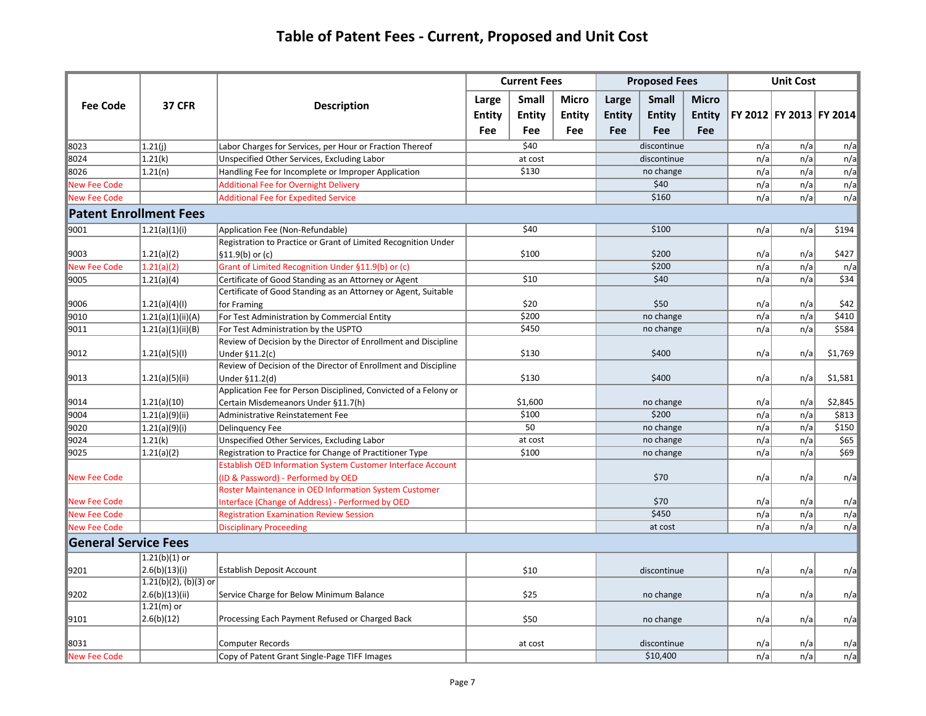|                             |                                 |                                                                                     | <b>Current Fees</b> |         |            |               | <b>Proposed Fees</b> |               |     | <b>Unit Cost</b>        |         |     |       |
|-----------------------------|---------------------------------|-------------------------------------------------------------------------------------|---------------------|---------|------------|---------------|----------------------|---------------|-----|-------------------------|---------|-----|-------|
|                             |                                 |                                                                                     | Large               | Small   | Micro      | Large         | <b>Small</b>         | <b>Micro</b>  |     |                         |         |     |       |
| <b>Fee Code</b>             | <b>37 CFR</b>                   | <b>Description</b>                                                                  | <b>Entity</b>       | Entity  | Entity     | <b>Entity</b> | Entity               | <b>Entity</b> |     | FY 2012 FY 2013 FY 2014 |         |     |       |
|                             |                                 |                                                                                     | Fee                 | Fee     | <b>Fee</b> | <b>Fee</b>    | Fee                  | Fee           |     |                         |         |     |       |
| 8023                        | 1.21(i)                         | Labor Charges for Services, per Hour or Fraction Thereof                            |                     | \$40    |            |               | discontinue          |               | n/a | n/a                     | n/a     |     |       |
| 8024                        | 1.21(k)                         | Unspecified Other Services, Excluding Labor                                         |                     | at cost |            |               | discontinue          |               | n/a | n/a                     | n/a     |     |       |
| 8026                        | 1.21(n)                         | Handling Fee for Incomplete or Improper Application                                 |                     | \$130   |            |               | no change            |               | n/a | n/a                     | n/a     |     |       |
| <b>Vew Fee Code</b>         |                                 | <b>Additional Fee for Overnight Delivery</b>                                        |                     |         |            |               | \$40                 |               | n/a | n/a                     | n/a     |     |       |
| <b>New Fee Code</b>         |                                 | <b>Additional Fee for Expedited Service</b>                                         |                     |         |            |               | \$160                |               | n/a | n/a                     | n/a     |     |       |
|                             | <b>Patent Enrollment Fees</b>   |                                                                                     |                     |         |            |               |                      |               |     |                         |         |     |       |
| 9001                        | (1.21(a)(1)(i))                 | Application Fee (Non-Refundable)                                                    |                     | \$40    |            |               | \$100                |               |     |                         | n/a     | n/a | \$194 |
|                             |                                 | Registration to Practice or Grant of Limited Recognition Under                      |                     |         |            |               |                      |               |     |                         |         |     |       |
| 9003                        | 1.21(a)(2)                      | $\vert$ §11.9(b) or (c)                                                             | \$100               |         | \$200      |               |                      | n/a           | n/a | \$427                   |         |     |       |
| <b>Vew Fee Code</b>         | 1.21(a)(2)                      | Grant of Limited Recognition Under §11.9(b) or (c)                                  |                     |         |            |               | \$200                |               | n/a | n/a                     | n/a     |     |       |
| 9005                        | 1.21(a)(4)                      | Certificate of Good Standing as an Attorney or Agent                                |                     | \$10    |            |               | \$40                 |               | n/a | n/a                     | \$34    |     |       |
|                             |                                 | Certificate of Good Standing as an Attorney or Agent, Suitable                      |                     |         |            |               |                      |               |     |                         |         |     |       |
| 9006                        | 1.21(a)(4)(1)                   | for Framing                                                                         |                     | \$20    |            | \$50          |                      |               | n/a | n/a                     | \$42    |     |       |
| 9010                        | 1.21(a)(1)(ii)(A)               | For Test Administration by Commercial Entity                                        |                     | \$200   |            | no change     |                      |               |     |                         | n/a     | n/a | \$410 |
| 9011                        | 1.21(a)(1)(ii)(B)               | For Test Administration by the USPTO                                                |                     | \$450   |            | no change     |                      |               | n/a | n/a                     | \$584   |     |       |
| 9012                        | (1.21(a)(5)(1))                 | Review of Decision by the Director of Enrollment and Discipline                     |                     | \$130   |            | \$400         |                      |               | n/a | n/a                     | \$1,769 |     |       |
|                             |                                 | Under $$11.2(c)$<br>Review of Decision of the Director of Enrollment and Discipline |                     |         |            |               |                      |               |     |                         |         |     |       |
| 9013                        | 1.21(a)(5)(ii)                  | Under §11.2(d)                                                                      |                     | \$130   |            | \$400         |                      |               | n/a | n/a                     | \$1,581 |     |       |
|                             |                                 | Application Fee for Person Disciplined, Convicted of a Felony or                    |                     |         |            |               |                      |               |     |                         |         |     |       |
| 9014                        | 1.21(a)(10)                     | Certain Misdemeanors Under §11.7(h)                                                 |                     | \$1,600 |            | no change     |                      |               | n/a | n/a                     | \$2,845 |     |       |
| 9004                        | 1.21(a)(9)(ii)                  | Administrative Reinstatement Fee                                                    |                     | \$100   |            | \$200         |                      |               | n/a | n/a                     | \$813   |     |       |
| 9020                        | 1.21(a)(9)(i)                   | Delinquency Fee                                                                     |                     | 50      |            |               | no change            |               | n/a | n/a                     | \$150   |     |       |
| 9024                        | 1.21(k)                         | Unspecified Other Services, Excluding Labor                                         |                     | at cost |            |               | no change            |               | n/a | n/a                     | \$65    |     |       |
| 9025                        | (1.21(a)(2))                    | Registration to Practice for Change of Practitioner Type                            |                     | \$100   |            |               | no change            |               | n/a | n/a                     | \$69    |     |       |
|                             |                                 | <b>Establish OED Information System Customer Interface Account</b>                  |                     |         |            |               |                      |               |     |                         |         |     |       |
| New Fee Code                |                                 | (ID & Password) - Performed by OED                                                  |                     |         |            |               | \$70                 |               | n/a | n/a                     | n/a     |     |       |
|                             |                                 | Roster Maintenance in OED Information System Customer                               |                     |         |            |               |                      |               |     |                         |         |     |       |
| <b>Vew Fee Code</b>         |                                 | Interface (Change of Address) - Performed by OED                                    |                     |         |            |               | \$70                 |               | n/a | n/a                     | n/a     |     |       |
| <b>New Fee Code</b>         |                                 | <b>Registration Examination Review Session</b>                                      |                     |         |            |               | \$450                |               | n/a | n/a                     | n/a     |     |       |
| <b>New Fee Code</b>         |                                 | <b>Disciplinary Proceeding</b>                                                      |                     |         |            |               | at cost              |               | n/a | n/a                     | n/a     |     |       |
| <b>General Service Fees</b> |                                 |                                                                                     |                     |         |            |               |                      |               |     |                         |         |     |       |
|                             | $1.21(b)(1)$ or                 |                                                                                     |                     |         |            |               |                      |               |     |                         |         |     |       |
| 9201                        | 2.6(b)(13)(i)                   | <b>Establish Deposit Account</b>                                                    | \$10                |         |            | discontinue   |                      | n/a           | n/a | n/a                     |         |     |       |
|                             | $1.21(b)(2)$ , (b)(3) or        |                                                                                     |                     |         |            |               |                      |               |     |                         |         |     |       |
| 9202                        | 2.6(b)(13)(ii) <br>$1.21(m)$ or | Service Charge for Below Minimum Balance                                            | \$25                |         | no change  |               |                      | n/a           | n/a | n/a                     |         |     |       |
| 9101                        | 2.6(b)(12)                      | Processing Each Payment Refused or Charged Back                                     |                     |         |            |               |                      |               |     |                         |         |     |       |
|                             |                                 |                                                                                     | \$50                |         | no change  |               |                      | n/a           | n/a | n/a                     |         |     |       |
| 8031                        |                                 | <b>Computer Records</b>                                                             |                     | at cost |            | discontinue   |                      | n/a           | n/a | n/a                     |         |     |       |
| <b>New Fee Code</b>         |                                 | Copy of Patent Grant Single-Page TIFF Images                                        |                     |         |            |               | \$10,400             |               | n/a | n/a                     | n/a     |     |       |